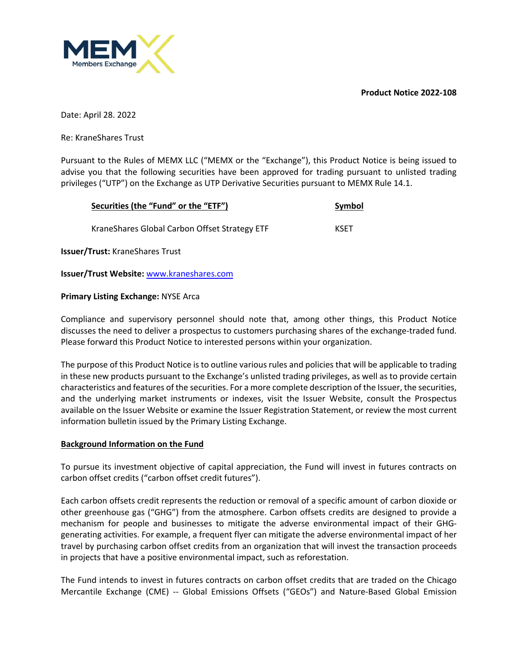**Product Notice 2022-108**



Date: April 28. 2022

Re: KraneShares Trust

Pursuant to the Rules of MEMX LLC ("MEMX or the "Exchange"), this Product Notice is being issued to advise you that the following securities have been approved for trading pursuant to unlisted trading privileges ("UTP") on the Exchange as UTP Derivative Securities pursuant to MEMX Rule 14.1.

| Securities (the "Fund" or the "ETF")           | Symbol      |  |
|------------------------------------------------|-------------|--|
| Krane Shares Global Carbon Offset Strategy ETF | <b>KSET</b> |  |

**Issuer/Trust:** KraneShares Trust

## **Issuer/Trust Website:** www.kraneshares.com

#### **Primary Listing Exchange:** NYSE Arca

Compliance and supervisory personnel should note that, among other things, this Product Notice discusses the need to deliver a prospectus to customers purchasing shares of the exchange-traded fund. Please forward this Product Notice to interested persons within your organization.

The purpose of this Product Notice is to outline various rules and policies that will be applicable to trading in these new products pursuant to the Exchange's unlisted trading privileges, as well as to provide certain characteristics and features of the securities. For a more complete description of the Issuer, the securities, and the underlying market instruments or indexes, visit the Issuer Website, consult the Prospectus available on the Issuer Website or examine the Issuer Registration Statement, or review the most current information bulletin issued by the Primary Listing Exchange.

#### **Background Information on the Fund**

To pursue its investment objective of capital appreciation, the Fund will invest in futures contracts on carbon offset credits ("carbon offset credit futures").

Each carbon offsets credit represents the reduction or removal of a specific amount of carbon dioxide or other greenhouse gas ("GHG") from the atmosphere. Carbon offsets credits are designed to provide a mechanism for people and businesses to mitigate the adverse environmental impact of their GHGgenerating activities. For example, a frequent flyer can mitigate the adverse environmental impact of her travel by purchasing carbon offset credits from an organization that will invest the transaction proceeds in projects that have a positive environmental impact, such as reforestation.

The Fund intends to invest in futures contracts on carbon offset credits that are traded on the Chicago Mercantile Exchange (CME) -- Global Emissions Offsets ("GEOs") and Nature-Based Global Emission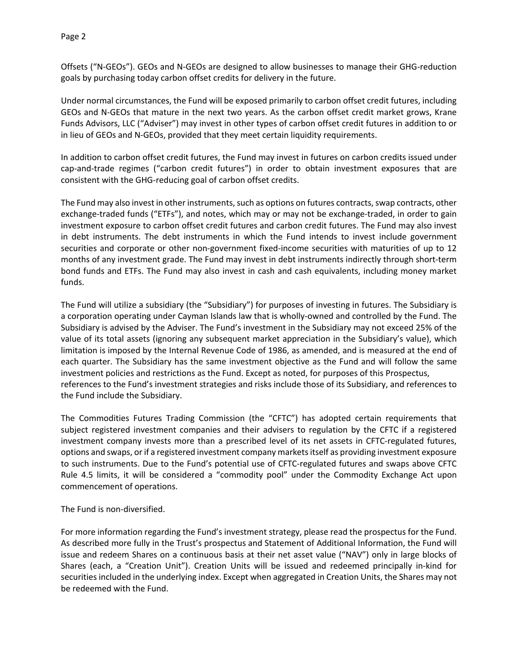Page 2

Offsets ("N-GEOs"). GEOs and N-GEOs are designed to allow businesses to manage their GHG-reduction goals by purchasing today carbon offset credits for delivery in the future.

Under normal circumstances, the Fund will be exposed primarily to carbon offset credit futures, including GEOs and N-GEOs that mature in the next two years. As the carbon offset credit market grows, Krane Funds Advisors, LLC ("Adviser") may invest in other types of carbon offset credit futures in addition to or in lieu of GEOs and N-GEOs, provided that they meet certain liquidity requirements.

In addition to carbon offset credit futures, the Fund may invest in futures on carbon credits issued under cap-and-trade regimes ("carbon credit futures") in order to obtain investment exposures that are consistent with the GHG-reducing goal of carbon offset credits.

The Fund may also invest in other instruments, such as options on futures contracts, swap contracts, other exchange-traded funds ("ETFs"), and notes, which may or may not be exchange-traded, in order to gain investment exposure to carbon offset credit futures and carbon credit futures. The Fund may also invest in debt instruments. The debt instruments in which the Fund intends to invest include government securities and corporate or other non-government fixed-income securities with maturities of up to 12 months of any investment grade. The Fund may invest in debt instruments indirectly through short-term bond funds and ETFs. The Fund may also invest in cash and cash equivalents, including money market funds.

The Fund will utilize a subsidiary (the "Subsidiary") for purposes of investing in futures. The Subsidiary is a corporation operating under Cayman Islands law that is wholly-owned and controlled by the Fund. The Subsidiary is advised by the Adviser. The Fund's investment in the Subsidiary may not exceed 25% of the value of its total assets (ignoring any subsequent market appreciation in the Subsidiary's value), which limitation is imposed by the Internal Revenue Code of 1986, as amended, and is measured at the end of each quarter. The Subsidiary has the same investment objective as the Fund and will follow the same investment policies and restrictions as the Fund. Except as noted, for purposes of this Prospectus, references to the Fund's investment strategies and risks include those of its Subsidiary, and references to the Fund include the Subsidiary.

The Commodities Futures Trading Commission (the "CFTC") has adopted certain requirements that subject registered investment companies and their advisers to regulation by the CFTC if a registered investment company invests more than a prescribed level of its net assets in CFTC-regulated futures, options and swaps, or if a registered investment company markets itself as providing investment exposure to such instruments. Due to the Fund's potential use of CFTC-regulated futures and swaps above CFTC Rule 4.5 limits, it will be considered a "commodity pool" under the Commodity Exchange Act upon commencement of operations.

The Fund is non-diversified.

For more information regarding the Fund's investment strategy, please read the prospectus for the Fund. As described more fully in the Trust's prospectus and Statement of Additional Information, the Fund will issue and redeem Shares on a continuous basis at their net asset value ("NAV") only in large blocks of Shares (each, a "Creation Unit"). Creation Units will be issued and redeemed principally in-kind for securities included in the underlying index. Except when aggregated in Creation Units, the Shares may not be redeemed with the Fund.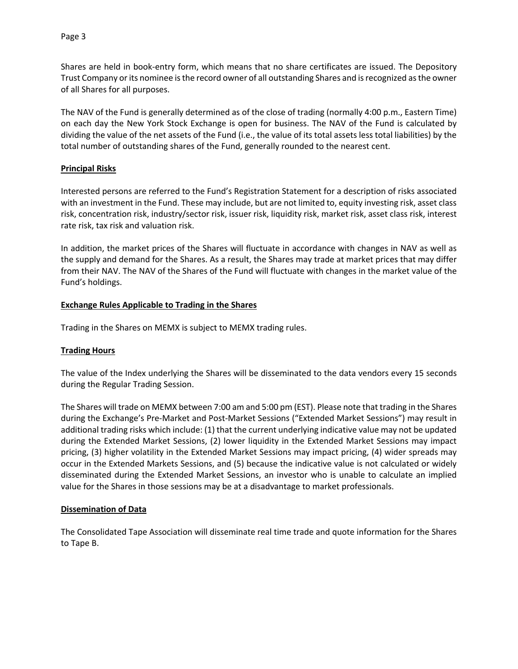Shares are held in book-entry form, which means that no share certificates are issued. The Depository Trust Company or its nominee is the record owner of all outstanding Shares and is recognized as the owner of all Shares for all purposes.

The NAV of the Fund is generally determined as of the close of trading (normally 4:00 p.m., Eastern Time) on each day the New York Stock Exchange is open for business. The NAV of the Fund is calculated by dividing the value of the net assets of the Fund (i.e., the value of its total assets less total liabilities) by the total number of outstanding shares of the Fund, generally rounded to the nearest cent.

#### **Principal Risks**

Interested persons are referred to the Fund's Registration Statement for a description of risks associated with an investment in the Fund. These may include, but are not limited to, equity investing risk, asset class risk, concentration risk, industry/sector risk, issuer risk, liquidity risk, market risk, asset class risk, interest rate risk, tax risk and valuation risk.

In addition, the market prices of the Shares will fluctuate in accordance with changes in NAV as well as the supply and demand for the Shares. As a result, the Shares may trade at market prices that may differ from their NAV. The NAV of the Shares of the Fund will fluctuate with changes in the market value of the Fund's holdings.

#### **Exchange Rules Applicable to Trading in the Shares**

Trading in the Shares on MEMX is subject to MEMX trading rules.

## **Trading Hours**

The value of the Index underlying the Shares will be disseminated to the data vendors every 15 seconds during the Regular Trading Session.

The Shares will trade on MEMX between 7:00 am and 5:00 pm (EST). Please note that trading in the Shares during the Exchange's Pre-Market and Post-Market Sessions ("Extended Market Sessions") may result in additional trading risks which include: (1) that the current underlying indicative value may not be updated during the Extended Market Sessions, (2) lower liquidity in the Extended Market Sessions may impact pricing, (3) higher volatility in the Extended Market Sessions may impact pricing, (4) wider spreads may occur in the Extended Markets Sessions, and (5) because the indicative value is not calculated or widely disseminated during the Extended Market Sessions, an investor who is unable to calculate an implied value for the Shares in those sessions may be at a disadvantage to market professionals.

#### **Dissemination of Data**

The Consolidated Tape Association will disseminate real time trade and quote information for the Shares to Tape B.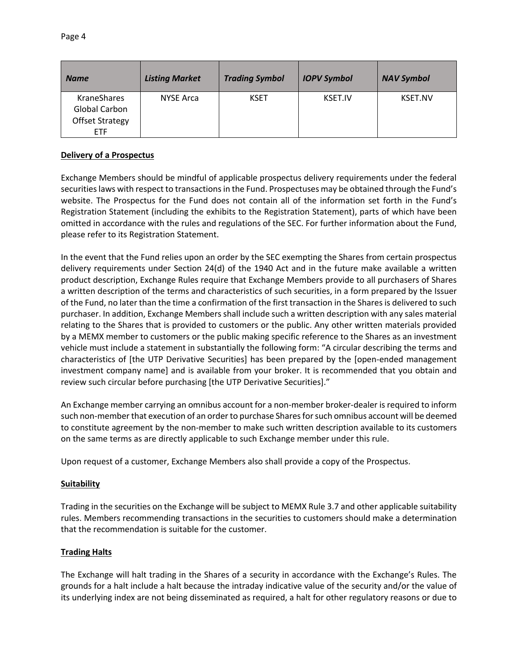| <b>Name</b>                         | <b>Listing Market</b> | <b>Trading Symbol</b> | <b>IOPV Symbol</b> | <b>NAV Symbol</b> |
|-------------------------------------|-----------------------|-----------------------|--------------------|-------------------|
| <b>KraneShares</b><br>Global Carbon | <b>NYSE Arca</b>      | <b>KSET</b>           | KSET.IV            | <b>KSET.NV</b>    |
| <b>Offset Strategy</b>              |                       |                       |                    |                   |
| <b>ETF</b>                          |                       |                       |                    |                   |

# **Delivery of a Prospectus**

Exchange Members should be mindful of applicable prospectus delivery requirements under the federal securities laws with respect to transactions in the Fund. Prospectuses may be obtained through the Fund's website. The Prospectus for the Fund does not contain all of the information set forth in the Fund's Registration Statement (including the exhibits to the Registration Statement), parts of which have been omitted in accordance with the rules and regulations of the SEC. For further information about the Fund, please refer to its Registration Statement.

In the event that the Fund relies upon an order by the SEC exempting the Shares from certain prospectus delivery requirements under Section 24(d) of the 1940 Act and in the future make available a written product description, Exchange Rules require that Exchange Members provide to all purchasers of Shares a written description of the terms and characteristics of such securities, in a form prepared by the Issuer of the Fund, no later than the time a confirmation of the first transaction in the Shares is delivered to such purchaser. In addition, Exchange Members shall include such a written description with any sales material relating to the Shares that is provided to customers or the public. Any other written materials provided by a MEMX member to customers or the public making specific reference to the Shares as an investment vehicle must include a statement in substantially the following form: "A circular describing the terms and characteristics of [the UTP Derivative Securities] has been prepared by the [open-ended management investment company name] and is available from your broker. It is recommended that you obtain and review such circular before purchasing [the UTP Derivative Securities]."

An Exchange member carrying an omnibus account for a non-member broker-dealer is required to inform such non-member that execution of an order to purchase Shares for such omnibus account will be deemed to constitute agreement by the non-member to make such written description available to its customers on the same terms as are directly applicable to such Exchange member under this rule.

Upon request of a customer, Exchange Members also shall provide a copy of the Prospectus.

## **Suitability**

Trading in the securities on the Exchange will be subject to MEMX Rule 3.7 and other applicable suitability rules. Members recommending transactions in the securities to customers should make a determination that the recommendation is suitable for the customer.

## **Trading Halts**

The Exchange will halt trading in the Shares of a security in accordance with the Exchange's Rules. The grounds for a halt include a halt because the intraday indicative value of the security and/or the value of its underlying index are not being disseminated as required, a halt for other regulatory reasons or due to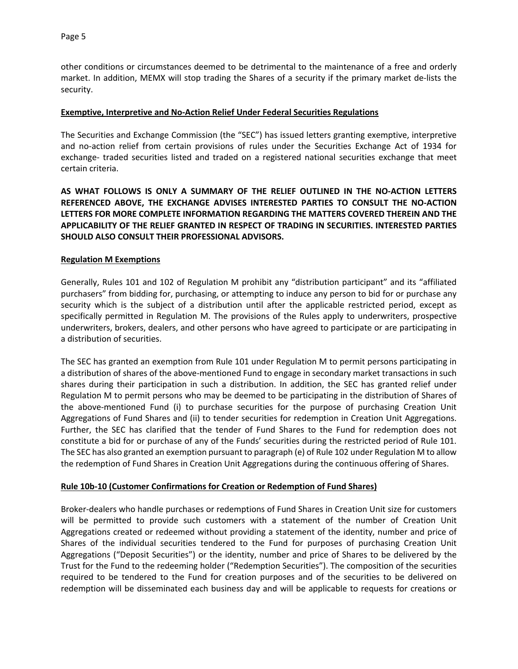other conditions or circumstances deemed to be detrimental to the maintenance of a free and orderly market. In addition, MEMX will stop trading the Shares of a security if the primary market de-lists the security.

#### **Exemptive, Interpretive and No-Action Relief Under Federal Securities Regulations**

The Securities and Exchange Commission (the "SEC") has issued letters granting exemptive, interpretive and no-action relief from certain provisions of rules under the Securities Exchange Act of 1934 for exchange- traded securities listed and traded on a registered national securities exchange that meet certain criteria.

**AS WHAT FOLLOWS IS ONLY A SUMMARY OF THE RELIEF OUTLINED IN THE NO-ACTION LETTERS REFERENCED ABOVE, THE EXCHANGE ADVISES INTERESTED PARTIES TO CONSULT THE NO-ACTION LETTERS FOR MORE COMPLETE INFORMATION REGARDING THE MATTERS COVERED THEREIN AND THE APPLICABILITY OF THE RELIEF GRANTED IN RESPECT OF TRADING IN SECURITIES. INTERESTED PARTIES SHOULD ALSO CONSULT THEIR PROFESSIONAL ADVISORS.**

#### **Regulation M Exemptions**

Generally, Rules 101 and 102 of Regulation M prohibit any "distribution participant" and its "affiliated purchasers" from bidding for, purchasing, or attempting to induce any person to bid for or purchase any security which is the subject of a distribution until after the applicable restricted period, except as specifically permitted in Regulation M. The provisions of the Rules apply to underwriters, prospective underwriters, brokers, dealers, and other persons who have agreed to participate or are participating in a distribution of securities.

The SEC has granted an exemption from Rule 101 under Regulation M to permit persons participating in a distribution of shares of the above-mentioned Fund to engage in secondary market transactions in such shares during their participation in such a distribution. In addition, the SEC has granted relief under Regulation M to permit persons who may be deemed to be participating in the distribution of Shares of the above-mentioned Fund (i) to purchase securities for the purpose of purchasing Creation Unit Aggregations of Fund Shares and (ii) to tender securities for redemption in Creation Unit Aggregations. Further, the SEC has clarified that the tender of Fund Shares to the Fund for redemption does not constitute a bid for or purchase of any of the Funds' securities during the restricted period of Rule 101. The SEC has also granted an exemption pursuant to paragraph (e) of Rule 102 under Regulation M to allow the redemption of Fund Shares in Creation Unit Aggregations during the continuous offering of Shares.

## **Rule 10b-10 (Customer Confirmations for Creation or Redemption of Fund Shares)**

Broker-dealers who handle purchases or redemptions of Fund Shares in Creation Unit size for customers will be permitted to provide such customers with a statement of the number of Creation Unit Aggregations created or redeemed without providing a statement of the identity, number and price of Shares of the individual securities tendered to the Fund for purposes of purchasing Creation Unit Aggregations ("Deposit Securities") or the identity, number and price of Shares to be delivered by the Trust for the Fund to the redeeming holder ("Redemption Securities"). The composition of the securities required to be tendered to the Fund for creation purposes and of the securities to be delivered on redemption will be disseminated each business day and will be applicable to requests for creations or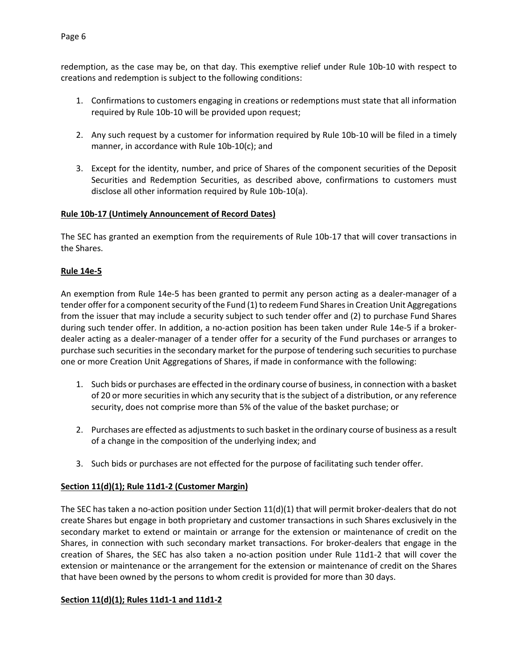redemption, as the case may be, on that day. This exemptive relief under Rule 10b-10 with respect to creations and redemption is subject to the following conditions:

- 1. Confirmations to customers engaging in creations or redemptions must state that all information required by Rule 10b-10 will be provided upon request;
- 2. Any such request by a customer for information required by Rule 10b-10 will be filed in a timely manner, in accordance with Rule 10b-10(c); and
- 3. Except for the identity, number, and price of Shares of the component securities of the Deposit Securities and Redemption Securities, as described above, confirmations to customers must disclose all other information required by Rule 10b-10(a).

## **Rule 10b-17 (Untimely Announcement of Record Dates)**

The SEC has granted an exemption from the requirements of Rule 10b-17 that will cover transactions in the Shares.

## **Rule 14e-5**

An exemption from Rule 14e-5 has been granted to permit any person acting as a dealer-manager of a tender offer for a component security of the Fund (1) to redeem Fund Shares in Creation Unit Aggregations from the issuer that may include a security subject to such tender offer and (2) to purchase Fund Shares during such tender offer. In addition, a no-action position has been taken under Rule 14e-5 if a brokerdealer acting as a dealer-manager of a tender offer for a security of the Fund purchases or arranges to purchase such securities in the secondary market for the purpose of tendering such securities to purchase one or more Creation Unit Aggregations of Shares, if made in conformance with the following:

- 1. Such bids or purchases are effected in the ordinary course of business, in connection with a basket of 20 or more securities in which any security that is the subject of a distribution, or any reference security, does not comprise more than 5% of the value of the basket purchase; or
- 2. Purchases are effected as adjustments to such basket in the ordinary course of business as a result of a change in the composition of the underlying index; and
- 3. Such bids or purchases are not effected for the purpose of facilitating such tender offer.

## **Section 11(d)(1); Rule 11d1-2 (Customer Margin)**

The SEC has taken a no-action position under Section  $11(d)(1)$  that will permit broker-dealers that do not create Shares but engage in both proprietary and customer transactions in such Shares exclusively in the secondary market to extend or maintain or arrange for the extension or maintenance of credit on the Shares, in connection with such secondary market transactions. For broker-dealers that engage in the creation of Shares, the SEC has also taken a no-action position under Rule 11d1-2 that will cover the extension or maintenance or the arrangement for the extension or maintenance of credit on the Shares that have been owned by the persons to whom credit is provided for more than 30 days.

#### **Section 11(d)(1); Rules 11d1-1 and 11d1-2**